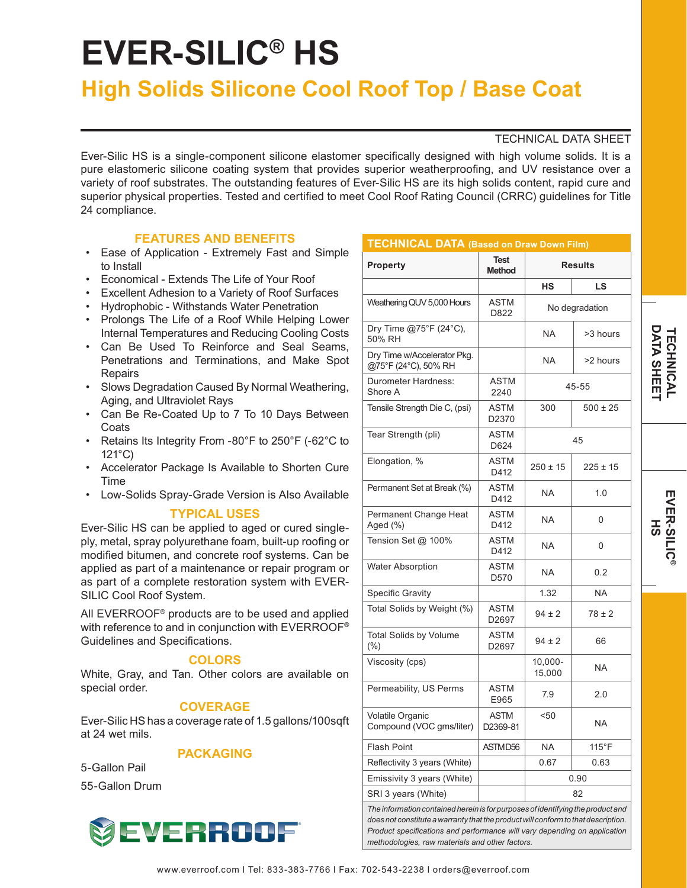# **EVER-SILIC® HS**

# **High Solids Silicone Cool Roof Top / Base Coat**

# TECHNICAL DATA SHEET

Ever-Silic HS is a single-component silicone elastomer specifically designed with high volume solids. It is a pure elastomeric silicone coating system that provides superior weatherproofing, and UV resistance over a variety of roof substrates. The outstanding features of Ever-Silic HS are its high solids content, rapid cure and superior physical properties. Tested and certified to meet Cool Roof Rating Council (CRRC) guidelines for Title 24 compliance.

 $T$ FEQUALO AL DATA

# **FEATURES AND BENEFITS**

- Ease of Application Extremely Fast and Simple to Install
- Economical Extends The Life of Your Roof
- Excellent Adhesion to a Variety of Roof Surfaces
- Hydrophobic Withstands Water Penetration
- Prolongs The Life of a Roof While Helping Lower Internal Temperatures and Reducing Cooling Costs
- Can Be Used To Reinforce and Seal Seams, Penetrations and Terminations, and Make Spot Repairs
- Slows Degradation Caused By Normal Weathering, Aging, and Ultraviolet Rays
- Can Be Re-Coated Up to 7 To 10 Days Between **Coats**
- Retains Its Integrity From -80°F to 250°F (-62°C to 121°C)
- Accelerator Package Is Available to Shorten Cure Time
- Low-Solids Spray-Grade Version is Also Available

# **TYPICAL USES**

Ever-Silic HS can be applied to aged or cured singleply, metal, spray polyurethane foam, built-up roofing or modified bitumen, and concrete roof systems. Can be applied as part of a maintenance or repair program or as part of a complete restoration system with EVER-SILIC Cool Roof System.

All EVERROOF® products are to be used and applied with reference to and in conjunction with EVERROOF® Guidelines and Specifications.

# **COLORS**

White, Gray, and Tan. Other colors are available on special order.

# **COVERAGE**

Ever-Silic HS has a coverage rate of 1.5 gallons/100sqft at 24 wet mils.

# **PACKAGING**

5-Gallon Pail 55-Gallon Drum



| <b>Property</b>                                     | <b>Test</b><br><b>Method</b> | <b>Results</b>       |                 |
|-----------------------------------------------------|------------------------------|----------------------|-----------------|
|                                                     |                              | НS                   | LS              |
| Weathering QUV 5,000 Hours                          | ASTM<br>D822                 | No degradation       |                 |
| Dry Time @75°F (24°C),<br>50% RH                    |                              | <b>NA</b>            | >3 hours        |
| Dry Time w/Accelerator Pkg.<br>@75°F (24°C), 50% RH |                              | NA.                  | >2 hours        |
| Durometer Hardness:<br>Shore A                      | ASTM<br>2240                 | 45-55                |                 |
| Tensile Strength Die C, (psi)                       | <b>ASTM</b><br>D2370         | 300                  | 500 ± 25        |
| Tear Strength (pli)                                 | <b>ASTM</b><br>D624          | 45                   |                 |
| Elongation, %                                       | ASTM<br>D412                 | $250 \pm 15$         | 225 ± 15        |
| Permanent Set at Break (%)                          | <b>ASTM</b><br>D412          | NA.                  | 1.0             |
| Permanent Change Heat<br>Aged (%)                   | <b>ASTM</b><br>D412          | <b>NA</b>            | 0               |
| Tension Set @ 100%                                  | <b>ASTM</b><br>D412          | NA.                  | 0               |
| <b>Water Absorption</b>                             | ASTM<br>D570                 | <b>NA</b>            | 0.2             |
| Specific Gravity                                    |                              | 1.32                 | <b>NA</b>       |
| Total Solids by Weight (%)                          | ASTM<br>D2697                | $94 \pm 2$           | $78 \pm 2$      |
| <b>Total Solids by Volume</b><br>$(\% )$            | ASTM<br>D2697                | 94 ± 2               | 66              |
| Viscosity (cps)                                     |                              | $10,000 -$<br>15,000 | NA.             |
| Permeability, US Perms                              | <b>ASTM</b><br>E965          | 7.9                  | 2.0             |
| Volatile Organic<br>Compound (VOC gms/liter)        | <b>ASTM</b><br>D2369-81      | < 50                 | NA.             |
| Flash Point                                         | ASTMD56                      | <b>NA</b>            | $115^{\circ}$ F |
| Reflectivity 3 years (White)                        |                              | 0.67                 | 0.63            |
| Emissivity 3 years (White)                          |                              | 0.90                 |                 |
| SRI 3 years (White)                                 |                              | 82                   |                 |

*methodologies, raw materials and other factors.*

**DATA SHEE DATA SHEET TECHNICAL** *TECHNICAL* 

**EVER-SILIC EVER-SILIC® HS**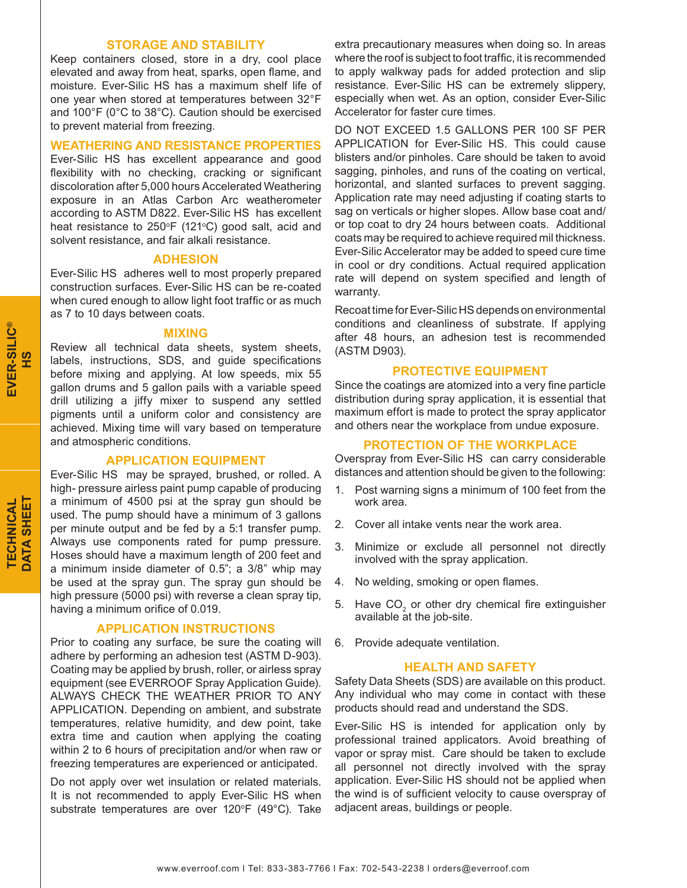## **STORAGE AND STABILITY**

Keep containers closed, store in a dry, cool place elevated and away from heat, sparks, open flame, and moisture. Ever-Silic HS has a maximum shelf life of one year when stored at temperatures between 32°F and 100°F (0°C to 38°C). Caution should be exercised to prevent material from freezing.

#### **WEATHERING AND RESISTANCE PROPERTIES**

Ever-Silic HS has excellent appearance and good flexibility with no checking, cracking or significant discoloration after 5,000 hours Accelerated Weathering exposure in an Atlas Carbon Arc weatherometer according to ASTM D822. Ever-Silic HS has excellent heat resistance to  $250^{\circ}F$  (121 $^{\circ}C$ ) good salt, acid and solvent resistance, and fair alkali resistance.

# **ADHESION**

Ever-Silic HS adheres well to most properly prepared construction surfaces. Ever-Silic HS can be re-coated when cured enough to allow light foot traffic or as much as 7 to 10 days between coats.

#### **MIXING**

Review all technical data sheets, system sheets, labels, instructions, SDS, and guide specifications before mixing and applying. At low speeds, mix 55 gallon drums and 5 gallon pails with a variable speed drill utilizing a jiffy mixer to suspend any settled pigments until a uniform color and consistency are achieved. Mixing time will vary based on temperature and atmospheric conditions.

#### **APPLICATION EQUIPMENT**

Ever-Silic HS may be sprayed, brushed, or rolled. A high- pressure airless paint pump capable of producing a minimum of 4500 psi at the spray gun should be used. The pump should have a minimum of 3 gallons per minute output and be fed by a 5:1 transfer pump. Always use components rated for pump pressure. Hoses should have a maximum length of 200 feet and a minimum inside diameter of 0.5"; a 3/8" whip may be used at the spray gun. The spray gun should be high pressure (5000 psi) with reverse a clean spray tip, having a minimum orifice of 0.019.

# **APPLICATION INSTRUCTIONS**

Prior to coating any surface, be sure the coating will adhere by performing an adhesion test (ASTM D-903). Coating may be applied by brush, roller, or airless spray equipment (see EVERROOF Spray Application Guide). ALWAYS CHECK THE WEATHER PRIOR TO ANY APPLICATION. Depending on ambient, and substrate temperatures, relative humidity, and dew point, take extra time and caution when applying the coating within 2 to 6 hours of precipitation and/or when raw or freezing temperatures are experienced or anticipated.

Do not apply over wet insulation or related materials. It is not recommended to apply Ever-Silic HS when substrate temperatures are over  $120^{\circ}F$  (49 $^{\circ}C$ ). Take extra precautionary measures when doing so. In areas where the roof is subject to foot traffic, it is recommended to apply walkway pads for added protection and slip resistance. Ever-Silic HS can be extremely slippery, especially when wet. As an option, consider Ever-Silic Accelerator for faster cure times.

DO NOT EXCEED 1.5 GALLONS PER 100 SF PER APPLICATION for Ever-Silic HS. This could cause blisters and/or pinholes. Care should be taken to avoid sagging, pinholes, and runs of the coating on vertical, horizontal, and slanted surfaces to prevent sagging. Application rate may need adjusting if coating starts to sag on verticals or higher slopes. Allow base coat and/ or top coat to dry 24 hours between coats. Additional coats may be required to achieve required mil thickness. Ever-Silic Accelerator may be added to speed cure time in cool or dry conditions. Actual required application rate will depend on system specified and length of warranty.

Recoat time for Ever-Silic HS depends on environmental conditions and cleanliness of substrate. If applying after 48 hours, an adhesion test is recommended (ASTM D903).

#### **PROTECTIVE EQUIPMENT**

Since the coatings are atomized into a very fine particle distribution during spray application, it is essential that maximum effort is made to protect the spray applicator and others near the workplace from undue exposure.

# **PROTECTION OF THE WORKPLACE**

Overspray from Ever-Silic HS can carry considerable distances and attention should be given to the following:

- 1. Post warning signs a minimum of 100 feet from the work area.
- 2. Cover all intake vents near the work area.
- 3. Minimize or exclude all personnel not directly involved with the spray application.
- 4. No welding, smoking or open flames.
- 5. Have  $CO<sub>2</sub>$  or other dry chemical fire extinguisher available at the job-site.
- 6. Provide adequate ventilation.

#### **HEALTH AND SAFETY**

Safety Data Sheets (SDS) are available on this product. Any individual who may come in contact with these products should read and understand the SDS.

Ever-Silic HS is intended for application only by professional trained applicators. Avoid breathing of vapor or spray mist. Care should be taken to exclude all personnel not directly involved with the spray application. Ever-Silic HS should not be applied when the wind is of sufficient velocity to cause overspray of adjacent areas, buildings or people.

**TECHNICAL DATA SHEET** 

**DATA SHEET** TECHNICAL